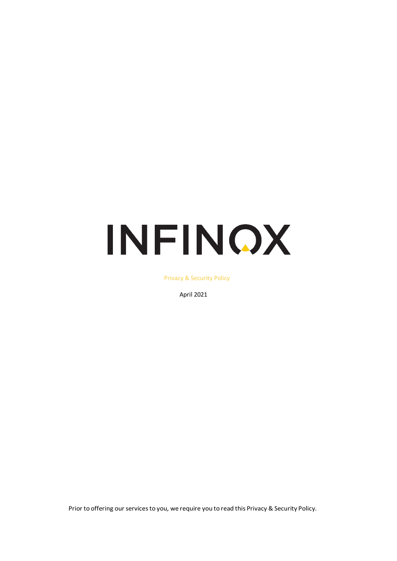# INFINOX

Privacy & Security Policy

April 2021

Prior to offering our services to you, we require you to read this Privacy & Security Policy.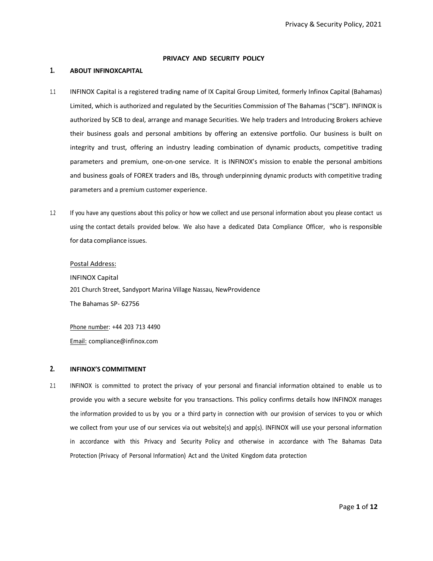## **PRIVACY AND SECURITY POLICY**

### **1. ABOUT INFINOXCAPITAL**

- 1.1 INFINOX Capital is a registered trading name of IX Capital Group Limited, formerly Infinox Capital (Bahamas) Limited, which is authorized and regulated by the Securities Commission of The Bahamas ("SCB"). INFINOX is authorized by SCB to deal, arrange and manage Securities. We help traders and Introducing Brokers achieve their business goals and personal ambitions by offering an extensive portfolio. Our business is built on integrity and trust, offering an industry leading combination of dynamic products, competitive trading parameters and premium, one-on-one service. It is INFINOX's mission to enable the personal ambitions and business goals of FOREX traders and IBs, through underpinning dynamic products with competitive trading parameters and a premium customer experience.
- 1.2 If you have any questions about this policy or how we collect and use personal information about you please contact us using the contact details provided below. We also have a dedicated Data Compliance Officer, who is responsible for data compliance issues.

#### Postal Address:

INFINOX Capital 201 Church Street, Sandyport Marina Village Nassau, NewProvidence The Bahamas SP- 62756

Phone number: +44 203 713 4490 Email: [compliance@infinox.com](mailto:compliance@infinox.com)

#### **2. INFINOX'S COMMITMENT**

2.1 INFINOX is committed to protect the privacy of your personal and financial information obtained to enable us to provide you with a secure website for you transactions. This policy confirms details how INFINOX manages the information provided to us by you or a third party in connection with our provision of services to you or which we collect from your use of our services via out website(s) and app(s). INFINOX will use your personal information in accordance with this Privacy and Security Policy and otherwise in accordance with The Bahamas Data Protection (Privacy of Personal Information) Act and the United Kingdom data protection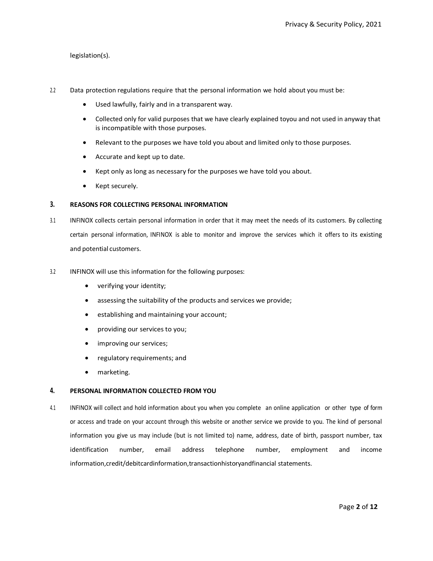# legislation(s).

- 2.2 Data protection regulations require that the personal information we hold about you must be:
	- Used lawfully, fairly and in a transparent way.
	- Collected only for valid purposes that we have clearly explained toyou and not used in anyway that is incompatible with those purposes.
	- Relevant to the purposes we have told you about and limited only to those purposes.
	- Accurate and kept up to date.
	- Kept only as long as necessary for the purposes we have told you about.
	- Kept securely.

## **3. REASONS FOR COLLECTING PERSONAL INFORMATION**

- 3.1 INFINOX collects certain personal information in order that it may meet the needs of its customers. By collecting certain personal information, INFINOX is able to monitor and improve the services which it offers to its existing and potential customers.
- 3.2 INFINOX will use this information for the following purposes:
	- verifying your identity;
	- assessing the suitability of the products and services we provide;
	- establishing and maintaining your account;
	- providing our services to you;
	- improving our services;
	- regulatory requirements; and
	- marketing.

### **4. PERSONAL INFORMATION COLLECTED FROM YOU**

4.1 INFINOX will collect and hold information about you when you complete an online application or other type of form or access and trade on your account through this website or another service we provide to you. The kind of personal information you give us may include (but is not limited to) name, address, date of birth, passport number, tax identification number, email address telephone number, employment and income information,credit/debitcardinformation,transactionhistoryandfinancial statements.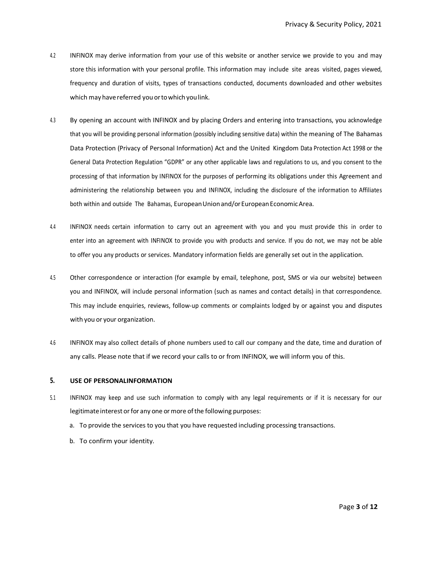- 4.2 INFINOX may derive information from your use of this website or another service we provide to you and may store this information with your personal profile. This information may include site areas visited, pages viewed, frequency and duration of visits, types of transactions conducted, documents downloaded and other websites which may have referred you or to which you link.
- 4.3 By opening an account with INFINOX and by placing Orders and entering into transactions, you acknowledge that you will be providing personal information (possibly including sensitive data) within the meaning of The Bahamas Data Protection (Privacy of Personal Information) Act and the United Kingdom Data Protection Act 1998 or the General Data Protection Regulation "GDPR" or any other applicable laws and regulations to us, and you consent to the processing of that information by INFINOX for the purposes of performing its obligations under this Agreement and administering the relationship between you and INFINOX, including the disclosure of the information to Affiliates both within and outside The Bahamas, European Union and/or European Economic Area.
- 4.4 INFINOX needs certain information to carry out an agreement with you and you must provide this in order to enter into an agreement with INFINOX to provide you with products and service. If you do not, we may not be able to offer you any products or services. Mandatory information fields are generally set out in the application.
- 4.5 Other correspondence or interaction (for example by email, telephone, post, SMS or via our website) between you and INFINOX, will include personal information (such as names and contact details) in that correspondence. This may include enquiries, reviews, follow-up comments or complaints lodged by or against you and disputes with you or your organization.
- 4.6 INFINOX may also collect details of phone numbers used to call our company and the date, time and duration of any calls. Please note that if we record your calls to or from INFINOX, we will inform you of this.

### **5. USE OF PERSONALINFORMATION**

- 5.1 INFINOX may keep and use such information to comply with any legal requirements or if it is necessary for our legitimate interest or for any one or more of the following purposes:
	- a. To provide the services to you that you have requested including processing transactions.
	- b. To confirm your identity.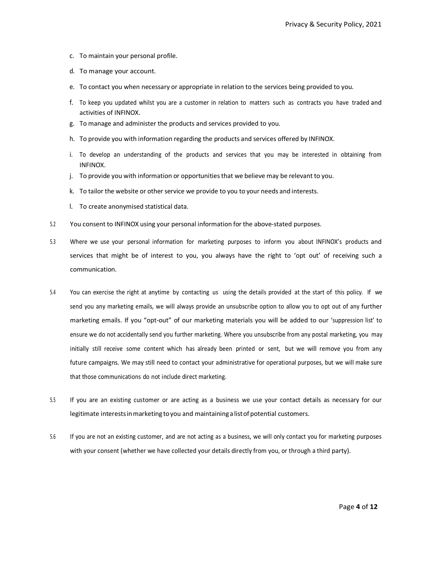- c. To maintain your personal profile.
- d. To manage your account.
- e. To contact you when necessary or appropriate in relation to the services being provided to you.
- f. To keep you updated whilst you are a customer in relation to matters such as contracts you have traded and activities of INFINOX.
- g. To manage and administer the products and services provided to you.
- h. To provide you with information regarding the products and services offered by INFINOX.
- i. To develop an understanding of the products and services that you may be interested in obtaining from INFINOX.
- j. To provide you with information or opportunitiesthat we believe may be relevant to you.
- k. To tailor the website or other service we provide to you to your needs and interests.
- l. To create anonymised statistical data.
- 5.2 You consent to INFINOX using your personal information for the above-stated purposes.
- 5.3 Where we use your personal information for marketing purposes to inform you about INFINOX's products and services that might be of interest to you, you always have the right to 'opt out' of receiving such a communication.
- 5.4 You can exercise the right at anytime by contacting us using the details provided at the start of this policy. If we send you any marketing emails, we will always provide an unsubscribe option to allow you to opt out of any further marketing emails. If you "opt-out" of our marketing materials you will be added to our 'suppression list' to ensure we do not accidentally send you further marketing. Where you unsubscribe from any postal marketing, you may initially still receive some content which has already been printed or sent, but we will remove you from any future campaigns. We may still need to contact your administrative for operational purposes, but we will make sure that those communications do not include direct marketing.
- 5.5 If you are an existing customer or are acting as a business we use your contact details as necessary for our legitimate interestsinmarketing toyou and maintaining alistof potential customers.
- 5.6 If you are not an existing customer, and are not acting as a business, we will only contact you for marketing purposes with your consent (whether we have collected your details directly from you, or through a third party).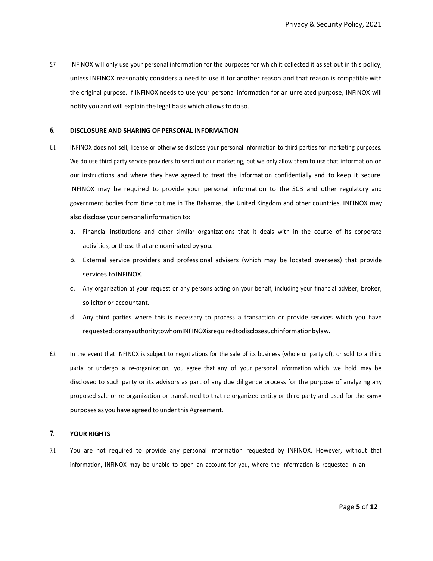5.7 INFINOX will only use your personal information for the purposes for which it collected it as set out in this policy, unless INFINOX reasonably considers a need to use it for another reason and that reason is compatible with the original purpose. If INFINOX needs to use your personal information for an unrelated purpose, INFINOX will notify you and will explain the legal basis which allowsto doso.

## **6. DISCLOSURE AND SHARING OF PERSONAL INFORMATION**

- 6.1 INFINOX does not sell, license or otherwise disclose your personal information to third parties for marketing purposes. We do use third party service providers to send out our marketing, but we only allow them to use that information on our instructions and where they have agreed to treat the information confidentially and to keep it secure. INFINOX may be required to provide your personal information to the SCB and other regulatory and government bodies from time to time in The Bahamas, the United Kingdom and other countries. INFINOX may also disclose your personal information to:
	- a. Financial institutions and other similar organizations that it deals with in the course of its corporate activities, or those that are nominated by you.
	- b. External service providers and professional advisers (which may be located overseas) that provide services toINFINOX.
	- c. Any organization at your request or any persons acting on your behalf, including your financial adviser, broker, solicitor or accountant.
	- d. Any third parties where this is necessary to process a transaction or provide services which you have requested;oranyauthoritytowhomINFINOXisrequiredtodisclosesuchinformationbylaw.
- 6.2 In the event that INFINOX is subject to negotiations for the sale of its business (whole or party of), or sold to a third party or undergo a re-organization, you agree that any of your personal information which we hold may be disclosed to such party or its advisors as part of any due diligence process for the purpose of analyzing any proposed sale or re-organization or transferred to that re-organized entity or third party and used for the same purposes as you have agreed to under this Agreement.

## **7. YOUR RIGHTS**

7.1 You are not required to provide any personal information requested by INFINOX. However, without that information, INFINOX may be unable to open an account for you, where the information is requested in an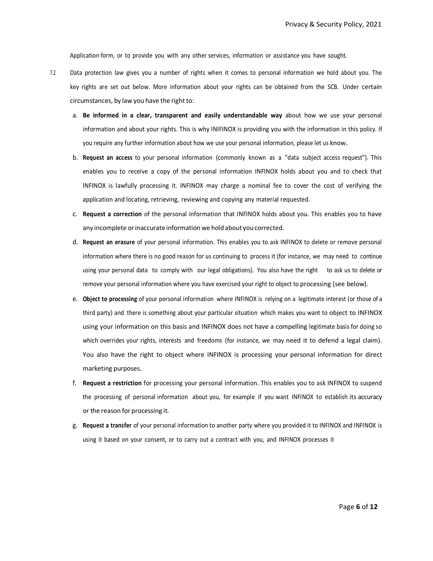Application form, or to provide you with any other services, information or assistance you have sought.

- 7.2 Data protection law gives you a number of rights when it comes to personal information we hold about you. The key rights are set out below. More information about your rights can be obtained from the SCB. Under certain circumstances, by law you have the right to:
	- a. **Be informed in a clear, transparent and easily understandable way** about how we use your personal information and about your rights. This is why INIFINOX is providing you with the information in this policy. If you require any further information about how we use your personal information, please let us know.
	- b. **Request an access** to your personal information (commonly known as a "data subject access request"). This enables you to receive a copy of the personal information INFINOX holds about you and to check that INFINOX is lawfully processing it. INFINOX may charge a nominal fee to cover the cost of verifying the application and locating, retrieving, reviewing and copying any material requested.
	- c. **Request a correction** of the personal information that INFINOX holds about you. This enables you to have any incomplete or inaccurate information we hold about you corrected.
	- d. **Request an erasure** of your personal information. This enables you to ask INFINOX to delete or remove personal information where there is no good reason for us continuing to process it (for instance, we may need to continue using your personal data to comply with our legal obligations). You also have the right to ask us to delete or remove your personal information where you have exercised your right to object to processing (see below).
	- e. **Object to processing** of your personal information where INFINOX is relying on a legitimate interest (or those of a third party) and there is something about your particular situation which makes you want to object to INFINOX using your information on this basis and INFINOX does not have a compelling legitimate basis for doing so which overrides your rights, interests and freedoms (for instance, we may need it to defend a legal claim). You also have the right to object where INFINOX is processing your personal information for direct marketing purposes.
	- f. **Request a restriction** for processing your personal information. This enables you to ask INFINOX to suspend the processing of personal information about you, for example if you want INFINOX to establish its accuracy or the reason for processing it.
	- g. **Request a transfer** of your personal information to another party where you provided it to INFINOX and INFINOX is using it based on your consent, or to carry out a contract with you, and INFINOX processes it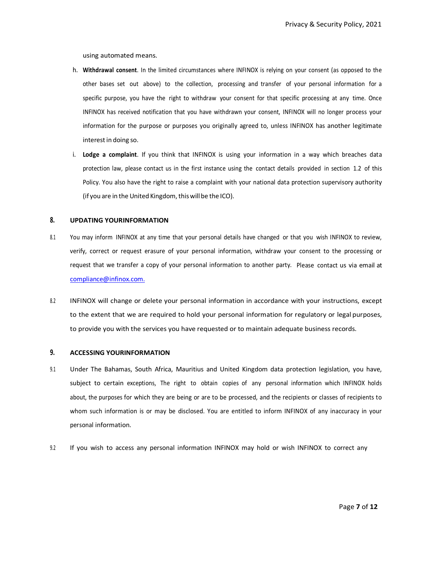using automated means.

- h. **Withdrawal consent**. In the limited circumstances where INFINOX is relying on your consent (as opposed to the other bases set out above) to the collection, processing and transfer of your personal information for a specific purpose, you have the right to withdraw your consent for that specific processing at any time. Once INFINOX has received notification that you have withdrawn your consent, INFINOX will no longer process your information for the purpose or purposes you originally agreed to, unless INFINOX has another legitimate interest in doing so.
- i. **Lodge a complaint**. If you think that INFINOX is using your information in a way which breaches data protection law, please contact us in the first instance using the contact details provided in section 1.2 of this Policy. You also have the right to raise a complaint with your national data protection supervisory authority (if you are in the United Kingdom, this will be the ICO).

## **8. UPDATING YOURINFORMATION**

- 8.1 You may inform INFINOX at any time that your personal details have changed or that you wish INFINOX to review, verify, correct or request erasure of your personal information, withdraw your consent to the processing or request that we transfer a copy of your personal information to another party. Please contact us via email at [compliance@infinox.com.](mailto:compliance@infinox.com.)
- 8.2 INFINOX will change or delete your personal information in accordance with your instructions, except to the extent that we are required to hold your personal information for regulatory or legal purposes, to provide you with the services you have requested or to maintain adequate business records.

#### **9. ACCESSING YOURINFORMATION**

- 9.1 Under The Bahamas, South Africa, Mauritius and United Kingdom data protection legislation, you have, subject to certain exceptions, The right to obtain copies of any personal information which INFINOX holds about, the purposes for which they are being or are to be processed, and the recipients or classes of recipients to whom such information is or may be disclosed. You are entitled to inform INFINOX of any inaccuracy in your personal information.
- 9.2 If you wish to access any personal information INFINOX may hold or wish INFINOX to correct any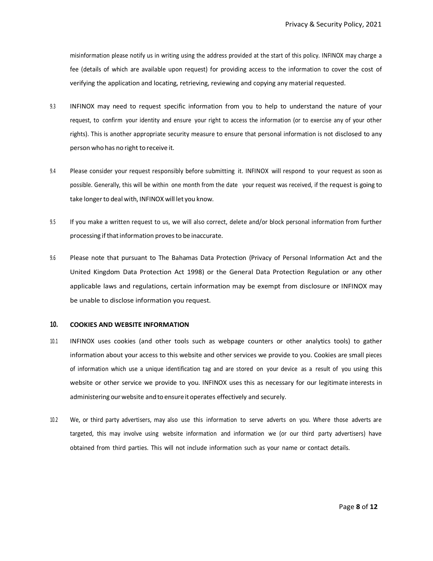misinformation please notify us in writing using the address provided at the start of this policy. INFINOX may charge a fee (details of which are available upon request) for providing access to the information to cover the cost of verifying the application and locating, retrieving, reviewing and copying any material requested.

- 9.3 INFINOX may need to request specific information from you to help to understand the nature of your request, to confirm your identity and ensure your right to access the information (or to exercise any of your other rights). This is another appropriate security measure to ensure that personal information is not disclosed to any person who has no right to receive it.
- 9.4 Please consider your request responsibly before submitting it. INFINOX will respond to your request as soon as possible. Generally, this will be within one month from the date your request was received, if the request is going to take longerto deal with, INFINOX will let you know.
- 9.5 If you make a written request to us, we will also correct, delete and/or block personal information from further processing if that information proves to be inaccurate.
- 9.6 Please note that pursuant to The Bahamas Data Protection (Privacy of Personal Information Act and the United Kingdom Data Protection Act 1998) or the General Data Protection Regulation or any other applicable laws and regulations, certain information may be exempt from disclosure or INFINOX may be unable to disclose information you request.

#### **10. COOKIES AND WEBSITE INFORMATION**

- 10.1 INFINOX uses cookies (and other tools such as webpage counters or other analytics tools) to gather information about your access to this website and other services we provide to you. Cookies are small pieces of information which use a unique identification tag and are stored on your device as a result of you using this website or other service we provide to you. INFINOX uses this as necessary for our legitimate interests in administering our website and to ensure it operates effectively and securely.
- 10.2 We, or third party advertisers, may also use this information to serve adverts on you. Where those adverts are targeted, this may involve using website information and information we (or our third party advertisers) have obtained from third parties. This will not include information such as your name or contact details.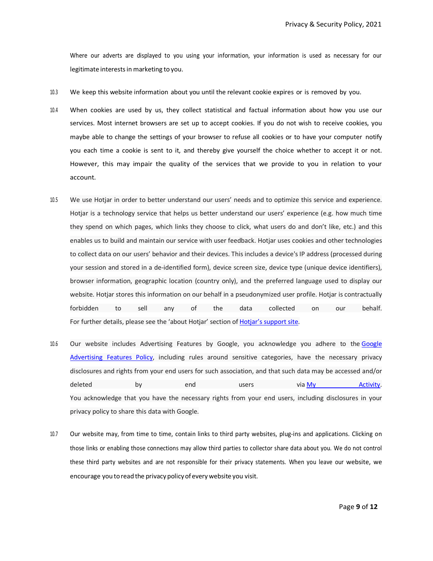Where our adverts are displayed to you using your information, your information is used as necessary for our legitimate interestsin marketing to you.

- 10.3 We keep this website information about you until the relevant cookie expires or is removed by you.
- 10.4 When cookies are used by us, they collect statistical and factual information about how you use our services. Most internet browsers are set up to accept cookies. If you do not wish to receive cookies, you maybe able to change the settings of your browser to refuse all cookies or to have your computer notify you each time a cookie is sent to it, and thereby give yourself the choice whether to accept it or not. However, this may impair the quality of the services that we provide to you in relation to your account.
- 10.5 We use Hotjar in order to better understand our users' needs and to optimize this service and experience. Hotjar is a technology service that helps us better understand our users' experience (e.g. how much time they spend on which pages, which links they choose to click, what users do and don't like, etc.) and this enables us to build and maintain our service with user feedback. Hotjar uses cookies and other technologies to collect data on our users' behavior and their devices. This includes a device's IP address (processed during your session and stored in a de-identified form), device screen size, device type (unique device identifiers), browser information, geographic location (country only), and the preferred language used to display our website. Hotjar stores this information on our behalf in a pseudonymized user profile. Hotjar is contractually forbidden to sell any of the data collected on our behalf. For further details, please see the 'about Hotjar' section of [Hotjar's support site.](https://help.hotjar.com/hc/en-us/categories/115001323967-About-Hotjar)
- 10.6 Our website includes Advertising Features by Google, you acknowledge you adhere to the [Google](https://support.google.com/analytics/answer/2700409?hl=en_US&utm_id=ad)  [Advertising Features Policy,](https://support.google.com/analytics/answer/2700409?hl=en_US&utm_id=ad) including rules around sensitive categories, have the necessary privacy disclosures and rights from your end users for such association, and that such data may be accessed and/or deleted by end users via <u>My Activity</u>. You acknowledge that you have the necessary rights from your end users, including disclosures in your privacy policy to share this data with Google.
- 10.7 Our website may, from time to time, contain links to third party websites, plug-ins and applications. Clicking on those links or enabling those connections may allow third parties to collector share data about you. We do not control these third party websites and are not responsible for their privacy statements. When you leave our website, we encourage you to read the privacy policy of every website you visit.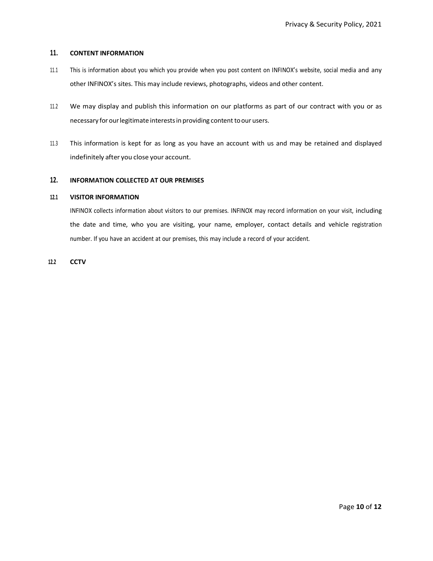## **11. CONTENT INFORMATION**

- 11.1 This is information about you which you provide when you post content on INFINOX's website, social media and any other INFINOX's sites. This may include reviews, photographs, videos and other content.
- 11.2 We may display and publish this information on our platforms as part of our contract with you or as necessary for our legitimate interests in providing content to our users.
- 11.3 This information is kept for as long as you have an account with us and may be retained and displayed indefinitely after you close your account.

## **12. INFORMATION COLLECTED AT OUR PREMISES**

### **12.1 VISITOR INFORMATION**

INFINOX collects information about visitors to our premises. INFINOX may record information on your visit, including the date and time, who you are visiting, your name, employer, contact details and vehicle registration number. If you have an accident at our premises, this may include a record of your accident.

**12.2 CCTV**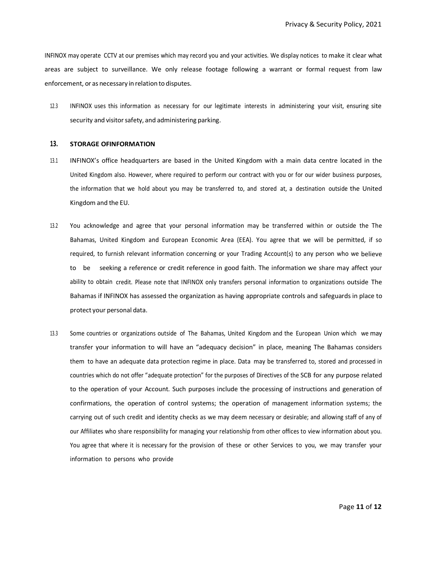INFINOX may operate CCTV at our premises which may record you and your activities. We display notices to make it clear what areas are subject to surveillance. We only release footage following a warrant or formal request from law enforcement, or as necessary in relation to disputes.

12.3 INFINOX uses this information as necessary for our legitimate interests in administering your visit, ensuring site security and visitor safety, and administering parking.

### **13. STORAGE OFINFORMATION**

- 13.1 INFINOX's office headquarters are based in the United Kingdom with a main data centre located in the United Kingdom also. However, where required to perform our contract with you or for our wider business purposes, the information that we hold about you may be transferred to, and stored at, a destination outside the United Kingdom and the EU.
- 13.2 You acknowledge and agree that your personal information may be transferred within or outside the The Bahamas, United Kingdom and European Economic Area (EEA). You agree that we will be permitted, if so required, to furnish relevant information concerning or your Trading Account(s) to any person who we believe to be seeking a reference or credit reference in good faith. The information we share may affect your ability to obtain credit. Please note that INFINOX only transfers personal information to organizations outside The Bahamas if INFINOX has assessed the organization as having appropriate controls and safeguards in place to protect your personal data.
- 13.3 Some countries or organizations outside of The Bahamas, United Kingdom and the European Union which we may transfer your information to will have an "adequacy decision" in place, meaning The Bahamas considers them to have an adequate data protection regime in place. Data may be transferred to, stored and processed in countries which do not offer "adequate protection" for the purposes of Directives of the SCB for any purpose related to the operation of your Account. Such purposes include the processing of instructions and generation of confirmations, the operation of control systems; the operation of management information systems; the carrying out of such credit and identity checks as we may deem necessary or desirable; and allowing staff of any of our Affiliates who share responsibility for managing your relationship from other offices to view information about you. You agree that where it is necessary for the provision of these or other Services to you, we may transfer your information to persons who provide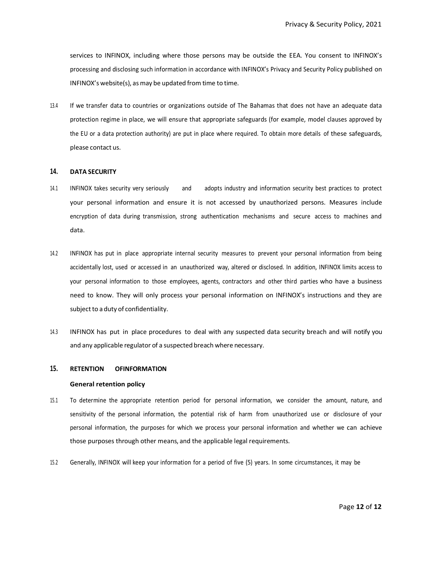services to INFINOX, including where those persons may be outside the EEA. You consent to INFINOX's processing and disclosing such information in accordance with INFINOX's Privacy and Security Policy published on INFINOX's website(s), asmay be updated from time to time.

13.4 If we transfer data to countries or organizations outside of The Bahamas that does not have an adequate data protection regime in place, we will ensure that appropriate safeguards (for example, model clauses approved by the EU or a data protection authority) are put in place where required. To obtain more details of these safeguards, please contact us.

### **14. DATA SECURITY**

- 14.1 INFINOX takes security very seriously and adopts industry and information security best practices to protect your personal information and ensure it is not accessed by unauthorized persons. Measures include encryption of data during transmission, strong authentication mechanisms and secure access to machines and data.
- 14.2 INFINOX has put in place appropriate internal security measures to prevent your personal information from being accidentally lost, used or accessed in an unauthorized way, altered or disclosed. In addition, INFINOX limits access to your personal information to those employees, agents, contractors and other third parties who have a business need to know. They will only process your personal information on INFINOX's instructions and they are subject to a duty of confidentiality.
- 14.3 INFINOX has put in place procedures to deal with any suspected data security breach and will notify you and any applicable regulator of a suspected breach where necessary.

#### **15. RETENTION OFINFORMATION**

#### **General retention policy**

- 15.1 To determine the appropriate retention period for personal information, we consider the amount, nature, and sensitivity of the personal information, the potential risk of harm from unauthorized use or disclosure of your personal information, the purposes for which we process your personal information and whether we can achieve those purposes through other means, and the applicable legal requirements.
- 15.2 Generally, INFINOX will keep your information for a period of five (5) years. In some circumstances, it may be